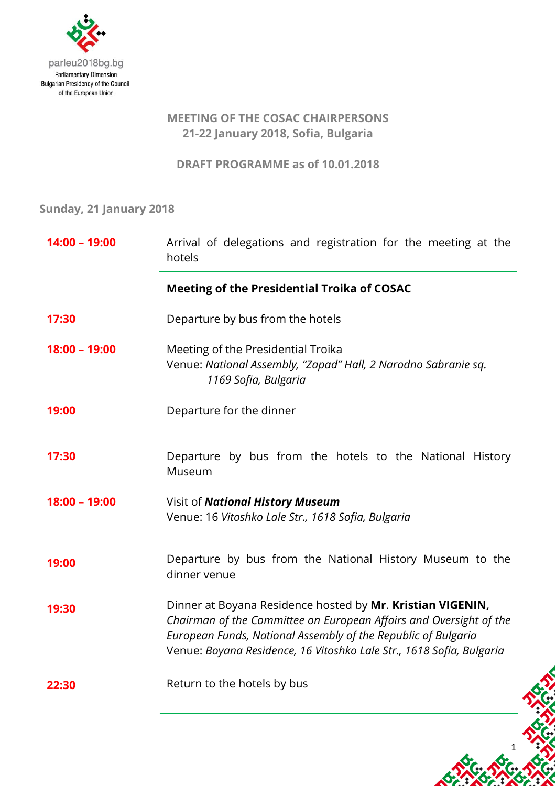

## **MEETING OF THE COSAC CHAIRPERSONS 21-22 January 2018, Sofia, Bulgaria**

**DRAFT PROGRAMME as of 10.01.2018**

**Sunday, 21 January 2018**

| 14:00 - 19:00   | Arrival of delegations and registration for the meeting at the<br>hotels                                                                                                                                                                                                  |
|-----------------|---------------------------------------------------------------------------------------------------------------------------------------------------------------------------------------------------------------------------------------------------------------------------|
|                 | <b>Meeting of the Presidential Troika of COSAC</b>                                                                                                                                                                                                                        |
| 17:30           | Departure by bus from the hotels                                                                                                                                                                                                                                          |
| $18:00 - 19:00$ | Meeting of the Presidential Troika<br>Venue: National Assembly, "Zapad" Hall, 2 Narodno Sabranie sq.<br>1169 Sofia, Bulgaria                                                                                                                                              |
| 19:00           | Departure for the dinner                                                                                                                                                                                                                                                  |
| 17:30           | Departure by bus from the hotels to the National History<br>Museum                                                                                                                                                                                                        |
| $18:00 - 19:00$ | Visit of National History Museum<br>Venue: 16 Vitoshko Lale Str., 1618 Sofia, Bulgaria                                                                                                                                                                                    |
| 19:00           | Departure by bus from the National History Museum to the<br>dinner venue                                                                                                                                                                                                  |
| 19:30           | Dinner at Boyana Residence hosted by Mr. Kristian VIGENIN,<br>Chairman of the Committee on European Affairs and Oversight of the<br>European Funds, National Assembly of the Republic of Bulgaria<br>Venue: Boyana Residence, 16 Vitoshko Lale Str., 1618 Sofia, Bulgaria |
| 22:30           | Return to the hotels by bus                                                                                                                                                                                                                                               |

1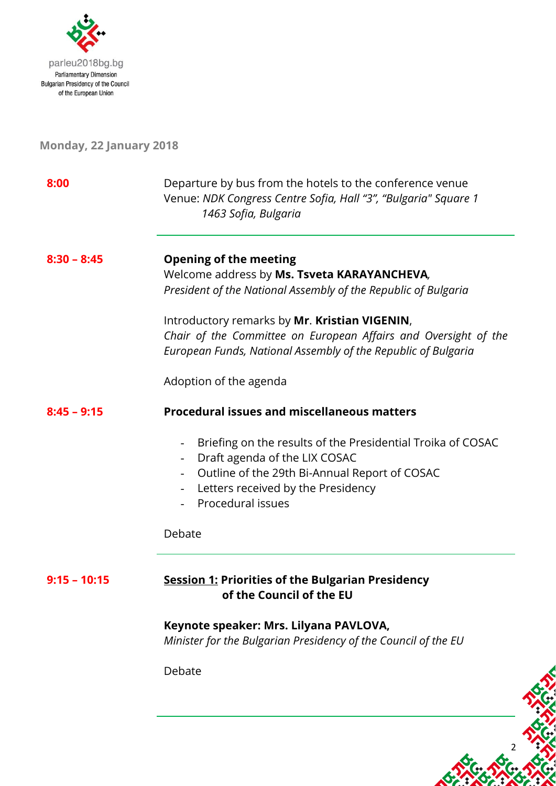

## **Monday, 22 January 2018**

| 8:00           | Departure by bus from the hotels to the conference venue<br>Venue: NDK Congress Centre Sofia, Hall "3", "Bulgaria" Square 1<br>1463 Sofia, Bulgaria                                                                                  |
|----------------|--------------------------------------------------------------------------------------------------------------------------------------------------------------------------------------------------------------------------------------|
| $8:30 - 8:45$  | <b>Opening of the meeting</b><br>Welcome address by Ms. Tsveta KARAYANCHEVA,<br>President of the National Assembly of the Republic of Bulgaria                                                                                       |
|                | Introductory remarks by Mr. Kristian VIGENIN,<br>Chair of the Committee on European Affairs and Oversight of the<br>European Funds, National Assembly of the Republic of Bulgaria                                                    |
|                | Adoption of the agenda                                                                                                                                                                                                               |
| $8:45 - 9:15$  | <b>Procedural issues and miscellaneous matters</b>                                                                                                                                                                                   |
|                | Briefing on the results of the Presidential Troika of COSAC<br>Draft agenda of the LIX COSAC<br>Outline of the 29th Bi-Annual Report of COSAC<br>$\overline{\phantom{0}}$<br>Letters received by the Presidency<br>Procedural issues |
|                | Debate                                                                                                                                                                                                                               |
| $9:15 - 10:15$ | <b>Session 1: Priorities of the Bulgarian Presidency</b><br>of the Council of the EU                                                                                                                                                 |
|                | Keynote speaker: Mrs. Lilyana PAVLOVA,<br>Minister for the Bulgarian Presidency of the Council of the EU                                                                                                                             |
|                | Debate                                                                                                                                                                                                                               |

2